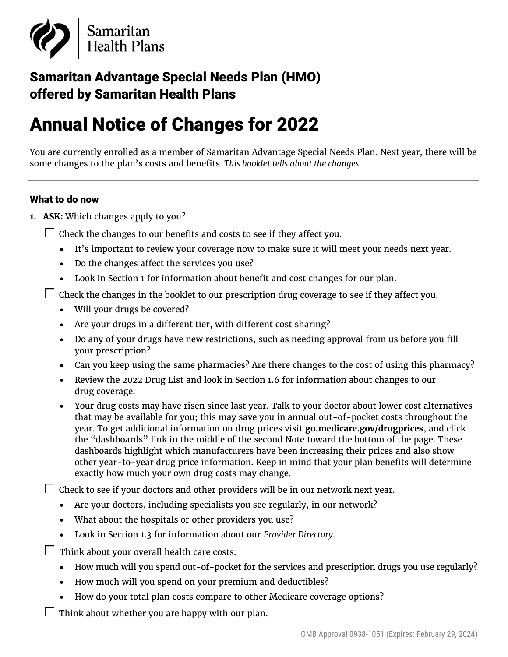

## Samaritan Advantage Special Needs Plan (HMO) offered by Samaritan Health Plans

# Annual Notice of Changes for 2022

You are currently enrolled as a member of Samaritan Advantage Special Needs Plan. Next year, there will be some changes to the plan's costs and benefits*. This booklet tells about the changes.*

#### What to do now

**1. ASK:** Which changes apply to you?

 $\Box$  Check the changes to our benefits and costs to see if they affect you.

- It's important to review your coverage now to make sure it will meet your needs next year.
- Do the changes affect the services you use?
- Look in Section 1 for information about benefit and cost changes for our plan.
- $\Box$  Check the changes in the booklet to our prescription drug coverage to see if they affect you.
	- Will your drugs be covered?
	- Are your drugs in a different tier, with different cost sharing?
	- Do any of your drugs have new restrictions, such as needing approval from us before you fill your prescription?
	- Can you keep using the same pharmacies? Are there changes to the cost of using this pharmacy?
	- Review the 2022 Drug List and look in Section 1.6 for information about changes to our drug coverage.
	- Your drug costs may have risen since last year. Talk to your doctor about lower cost alternatives that may be available for you; this may save you in annual out-of-pocket costs throughout the year. To get additional information on drug prices visit **[go.medicare.gov/drugprices](https://www.medicare.gov/drug-coverage-part-d/costs-for-medicare-drug-coverage)**, and click the "dashboards" link in the middle of the second Note toward the bottom of the page. These dashboards highlight which manufacturers have been increasing their prices and also show other year-to-year drug price information. Keep in mind that your plan benefits will determine exactly how much your own drug costs may change.

 $\Box$  Check to see if your doctors and other providers will be in our network next year.

- Are your doctors, including specialists you see regularly, in our network?
- What about the hospitals or other providers you use?
- Look in Section 1.3 for information about our *Provider Directory*.
- $\Box$  Think about your overall health care costs.
	- How much will you spend out-of-pocket for the services and prescription drugs you use regularly?
	- How much will you spend on your premium and deductibles?
	- How do your total plan costs compare to other Medicare coverage options?
- Think about whether you are happy with our plan.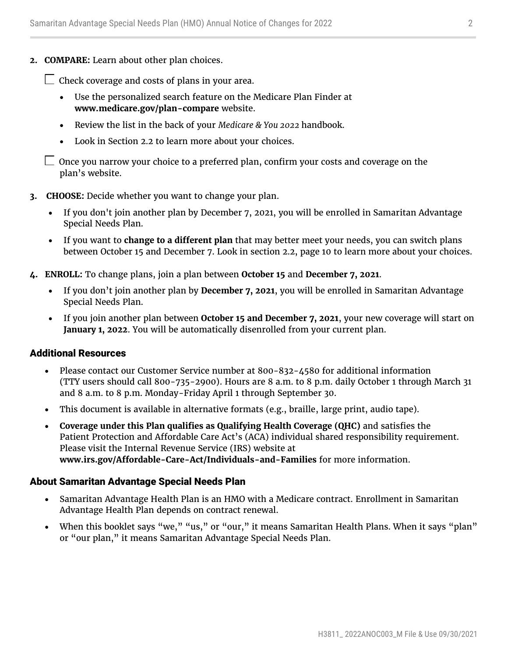**2. COMPARE:** Learn about other plan choices.

 $\Box$  Check coverage and costs of plans in your area.

- Use the personalized search feature on the Medicare Plan Finder at **[www.medicare.gov/plan-compare](http://www.medicare.gov/plan-compare)** website.
- Review the list in the back of your *Medicare & You 2022* handbook.
- Look in Section 2.2 to learn more about your choices.

 $\Box$  Once you narrow your choice to a preferred plan, confirm your costs and coverage on the plan's website.

- **3. CHOOSE:** Decide whether you want to change your plan.
	- If you don't join another plan by December 7, 2021, you will be enrolled in Samaritan Advantage Special Needs Plan.
	- If you want to **change to a different plan** that may better meet your needs, you can switch plans between October 15 and December 7. Look in section 2.2, page 10 to learn more about your choices.
- **4. ENROLL:** To change plans, join a plan between **October 15** and **December 7, 2021**.
	- If you don't join another plan by **December 7, 2021**, you will be enrolled in Samaritan Advantage Special Needs Plan.
	- If you join another plan between **October 15 and December 7, 2021**, your new coverage will start on **January 1, 2022**. You will be automatically disenrolled from your current plan.

#### Additional Resources

- Please contact our Customer Service number at 800-832-4580 for additional information (TTY users should call 800-735-2900). Hours are 8 a.m. to 8 p.m. daily October 1 through March 31 and 8 a.m. to 8 p.m. Monday-Friday April 1 through September 30.
- This document is available in alternative formats (e.g., braille, large print, audio tape).
- **Coverage under this Plan qualifies as Qualifying Health Coverage (QHC)** and satisfies the Patient Protection and Affordable Care Act's (ACA) individual shared responsibility requirement. Please visit the Internal Revenue Service (IRS) website at **[www.irs.gov/Affordable-Care-Act/Individuals-and-Families](http://www.irs.gov/Affordable-Care-Act/Individuals-and-Families)** for more information.

#### About Samaritan Advantage Special Needs Plan

- Samaritan Advantage Health Plan is an HMO with a Medicare contract. Enrollment in Samaritan Advantage Health Plan depends on contract renewal.
- When this booklet says "we," "us," or "our," it means Samaritan Health Plans. When it says "plan" or "our plan," it means Samaritan Advantage Special Needs Plan.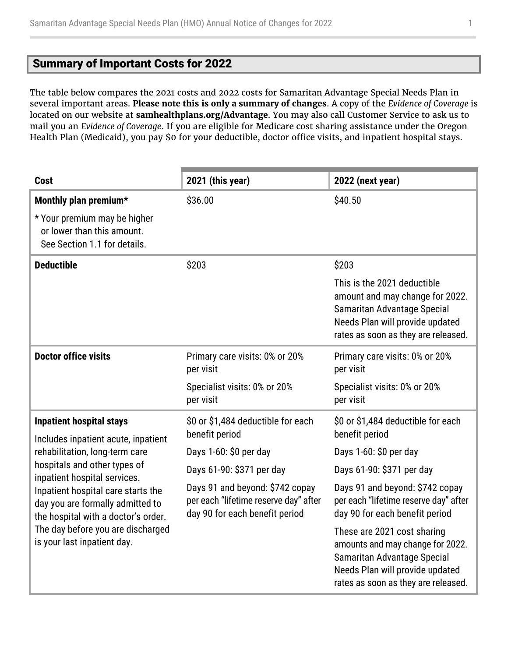### <span id="page-2-0"></span>Summary of Important Costs for 2022

The table below compares the 2021 costs and 2022 costs for Samaritan Advantage Special Needs Plan in several important areas. **Please note this is only a summary of changes**. A copy of the *Evidence of Coverage* is located on our website at **[samhealthplans.org/Advantage](https://www.samhealthplans.org/members/medicare-members)**. You may also call Customer Service to ask us to mail you an *Evidence of Coverage*. If you are eligible for Medicare cost sharing assistance under the Oregon Health Plan (Medicaid), you pay \$0 for your deductible, doctor office visits, and inpatient hospital stays.

| <b>Cost</b>                                                                                                                                                                       | 2021 (this year)                                                                                           | 2022 (next year)                                                                                                                                                         |
|-----------------------------------------------------------------------------------------------------------------------------------------------------------------------------------|------------------------------------------------------------------------------------------------------------|--------------------------------------------------------------------------------------------------------------------------------------------------------------------------|
| Monthly plan premium*                                                                                                                                                             | \$36.00                                                                                                    | \$40.50                                                                                                                                                                  |
| * Your premium may be higher<br>or lower than this amount.<br>See Section 1.1 for details.                                                                                        |                                                                                                            |                                                                                                                                                                          |
| <b>Deductible</b>                                                                                                                                                                 | \$203                                                                                                      | \$203                                                                                                                                                                    |
|                                                                                                                                                                                   |                                                                                                            | This is the 2021 deductible<br>amount and may change for 2022.<br>Samaritan Advantage Special<br>Needs Plan will provide updated<br>rates as soon as they are released.  |
| <b>Doctor office visits</b>                                                                                                                                                       | Primary care visits: 0% or 20%<br>per visit                                                                | Primary care visits: 0% or 20%<br>per visit                                                                                                                              |
|                                                                                                                                                                                   | Specialist visits: 0% or 20%<br>per visit                                                                  | Specialist visits: 0% or 20%<br>per visit                                                                                                                                |
| <b>Inpatient hospital stays</b><br>Includes inpatient acute, inpatient                                                                                                            | \$0 or \$1,484 deductible for each<br>benefit period                                                       | \$0 or \$1,484 deductible for each<br>benefit period                                                                                                                     |
| rehabilitation, long-term care                                                                                                                                                    | Days 1-60: \$0 per day                                                                                     | Days 1-60: \$0 per day                                                                                                                                                   |
| hospitals and other types of<br>inpatient hospital services.                                                                                                                      | Days 61-90: \$371 per day                                                                                  | Days 61-90: \$371 per day                                                                                                                                                |
| Inpatient hospital care starts the<br>day you are formally admitted to<br>the hospital with a doctor's order.<br>The day before you are discharged<br>is your last inpatient day. | Days 91 and beyond: \$742 copay<br>per each "lifetime reserve day" after<br>day 90 for each benefit period | Days 91 and beyond: \$742 copay<br>per each "lifetime reserve day" after<br>day 90 for each benefit period                                                               |
|                                                                                                                                                                                   |                                                                                                            | These are 2021 cost sharing<br>amounts and may change for 2022.<br>Samaritan Advantage Special<br>Needs Plan will provide updated<br>rates as soon as they are released. |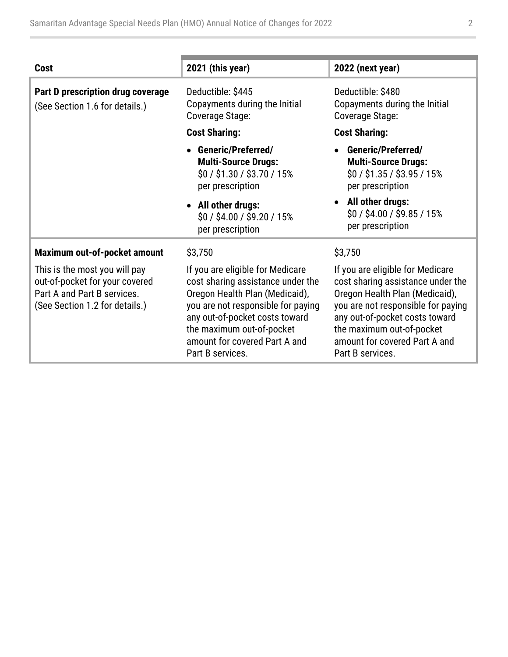| <b>Cost</b>                                                                                                                      | 2021 (this year)                                                                                                                                                                                                                                                  | 2022 (next year)                                                                                                                                                                                                                                                  |
|----------------------------------------------------------------------------------------------------------------------------------|-------------------------------------------------------------------------------------------------------------------------------------------------------------------------------------------------------------------------------------------------------------------|-------------------------------------------------------------------------------------------------------------------------------------------------------------------------------------------------------------------------------------------------------------------|
| Part D prescription drug coverage<br>(See Section 1.6 for details.)                                                              | Deductible: \$445<br>Copayments during the Initial<br>Coverage Stage:                                                                                                                                                                                             | Deductible: \$480<br>Copayments during the Initial<br>Coverage Stage:                                                                                                                                                                                             |
|                                                                                                                                  | <b>Cost Sharing:</b>                                                                                                                                                                                                                                              | <b>Cost Sharing:</b>                                                                                                                                                                                                                                              |
|                                                                                                                                  | <b>Generic/Preferred/</b><br><b>Multi-Source Drugs:</b><br>$$0 / $1.30 / $3.70 / 15\%$<br>per prescription                                                                                                                                                        | <b>Generic/Preferred/</b><br><b>Multi-Source Drugs:</b><br>$$0/$ \$1.35 / \$3.95 / 15%<br>per prescription                                                                                                                                                        |
|                                                                                                                                  | • All other drugs:<br>\$0 / \$4.00 / \$9.20 / 15%<br>per prescription                                                                                                                                                                                             | • All other drugs:<br>\$0/\$4.00/\$9.85/15%<br>per prescription                                                                                                                                                                                                   |
| Maximum out-of-pocket amount                                                                                                     | \$3,750                                                                                                                                                                                                                                                           | \$3,750                                                                                                                                                                                                                                                           |
| This is the most you will pay<br>out-of-pocket for your covered<br>Part A and Part B services.<br>(See Section 1.2 for details.) | If you are eligible for Medicare<br>cost sharing assistance under the<br>Oregon Health Plan (Medicaid),<br>you are not responsible for paying<br>any out-of-pocket costs toward<br>the maximum out-of-pocket<br>amount for covered Part A and<br>Part B services. | If you are eligible for Medicare<br>cost sharing assistance under the<br>Oregon Health Plan (Medicaid),<br>you are not responsible for paying<br>any out-of-pocket costs toward<br>the maximum out-of-pocket<br>amount for covered Part A and<br>Part B services. |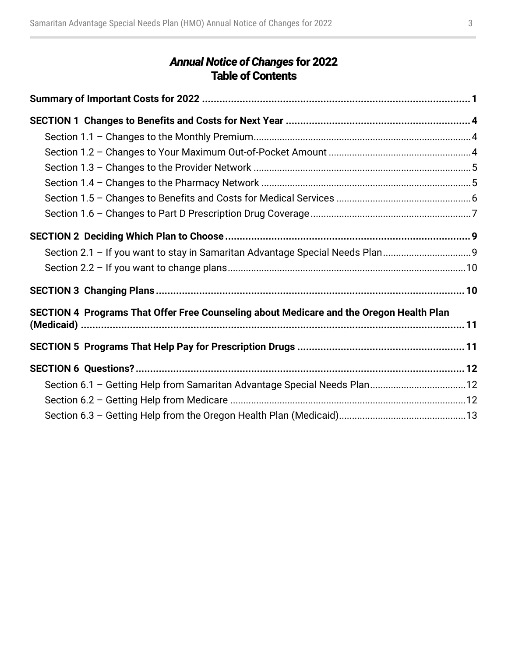### *Annual Notice of Changes* for 2022 Table of Contents

| Section 2.1 - If you want to stay in Samaritan Advantage Special Needs Plan9            |  |
|-----------------------------------------------------------------------------------------|--|
|                                                                                         |  |
|                                                                                         |  |
| SECTION 4 Programs That Offer Free Counseling about Medicare and the Oregon Health Plan |  |
|                                                                                         |  |
|                                                                                         |  |
| Section 6.1 - Getting Help from Samaritan Advantage Special Needs Plan12                |  |
|                                                                                         |  |
|                                                                                         |  |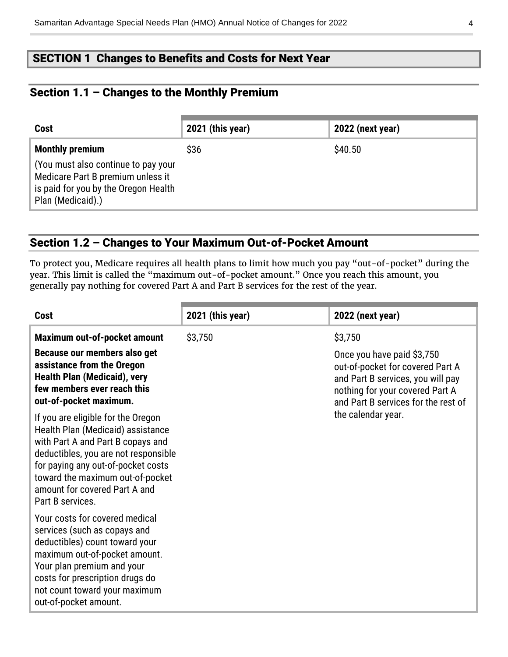### <span id="page-5-0"></span>SECTION 1 Changes to Benefits and Costs for Next Year

### <span id="page-5-1"></span>Section 1.1 – Changes to the Monthly Premium

| Cost                                                                                                                                  | 2021 (this year) | 2022 (next year) |
|---------------------------------------------------------------------------------------------------------------------------------------|------------------|------------------|
| <b>Monthly premium</b>                                                                                                                | \$36             | \$40.50          |
| (You must also continue to pay your<br>Medicare Part B premium unless it<br>is paid for you by the Oregon Health<br>Plan (Medicaid).) |                  |                  |

#### <span id="page-5-2"></span>Section 1.2 – Changes to Your Maximum Out-of-Pocket Amount

To protect you, Medicare requires all health plans to limit how much you pay "out-of-pocket" during the year. This limit is called the "maximum out-of-pocket amount." Once you reach this amount, you generally pay nothing for covered Part A and Part B services for the rest of the year.

| <b>Cost</b>                                                                                                                                                                                                                                                                         | 2021 (this year) | 2022 (next year)                                                                                                                                                                         |
|-------------------------------------------------------------------------------------------------------------------------------------------------------------------------------------------------------------------------------------------------------------------------------------|------------------|------------------------------------------------------------------------------------------------------------------------------------------------------------------------------------------|
| Maximum out-of-pocket amount<br>Because our members also get<br>assistance from the Oregon<br><b>Health Plan (Medicaid), very</b><br>few members ever reach this<br>out-of-pocket maximum.                                                                                          | \$3,750          | \$3,750<br>Once you have paid \$3,750<br>out-of-pocket for covered Part A<br>and Part B services, you will pay<br>nothing for your covered Part A<br>and Part B services for the rest of |
| If you are eligible for the Oregon<br>Health Plan (Medicaid) assistance<br>with Part A and Part B copays and<br>deductibles, you are not responsible<br>for paying any out-of-pocket costs<br>toward the maximum out-of-pocket<br>amount for covered Part A and<br>Part B services. |                  | the calendar year.                                                                                                                                                                       |
| Your costs for covered medical<br>services (such as copays and<br>deductibles) count toward your<br>maximum out-of-pocket amount.<br>Your plan premium and your<br>costs for prescription drugs do<br>not count toward your maximum<br>out-of-pocket amount.                        |                  |                                                                                                                                                                                          |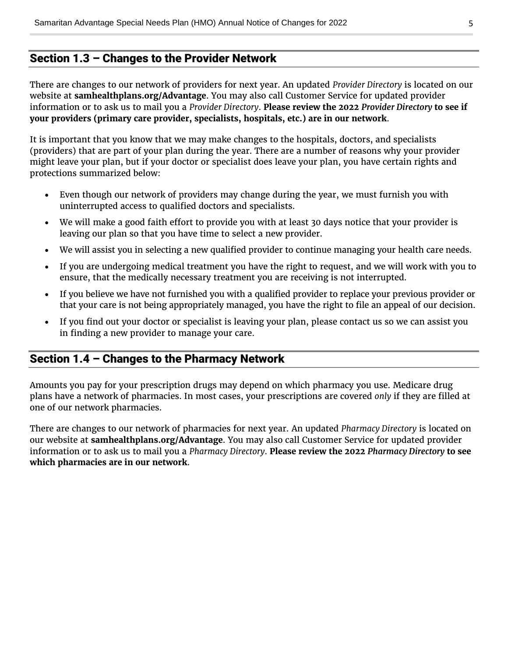### <span id="page-6-0"></span>Section 1.3 – Changes to the Provider Network

There are changes to our network of providers for next year. An updated *Provider Directory* is located on our website at **[samhealthplans.org/Advantage](https://www.samhealthplans.org/members/medicare-members)**. You may also call Customer Service for updated provider information or to ask us to mail you a *Provider Directory*. **Please review the 2022** *Provider Directory* **to see if your providers (primary care provider, specialists, hospitals, etc.) are in our network**.

It is important that you know that we may make changes to the hospitals, doctors, and specialists (providers) that are part of your plan during the year. There are a number of reasons why your provider might leave your plan, but if your doctor or specialist does leave your plan, you have certain rights and protections summarized below:

- Even though our network of providers may change during the year, we must furnish you with uninterrupted access to qualified doctors and specialists.
- We will make a good faith effort to provide you with at least 30 days notice that your provider is leaving our plan so that you have time to select a new provider.
- We will assist you in selecting a new qualified provider to continue managing your health care needs.
- If you are undergoing medical treatment you have the right to request, and we will work with you to ensure, that the medically necessary treatment you are receiving is not interrupted.
- If you believe we have not furnished you with a qualified provider to replace your previous provider or that your care is not being appropriately managed, you have the right to file an appeal of our decision.
- If you find out your doctor or specialist is leaving your plan, please contact us so we can assist you in finding a new provider to manage your care.

### <span id="page-6-1"></span>Section 1.4 – Changes to the Pharmacy Network

Amounts you pay for your prescription drugs may depend on which pharmacy you use. Medicare drug plans have a network of pharmacies. In most cases, your prescriptions are covered *only* if they are filled at one of our network pharmacies.

There are changes to our network of pharmacies for next year. An updated *Pharmacy Directory* is located on our website at **[samhealthplans.org/Advantage](https://www.samhealthplans.org/members/medicare-members)**. You may also call Customer Service for updated provider information or to ask us to mail you a *Pharmacy Directory*. **Please review the 2022** *Pharmacy Directory* **to see which pharmacies are in our network**.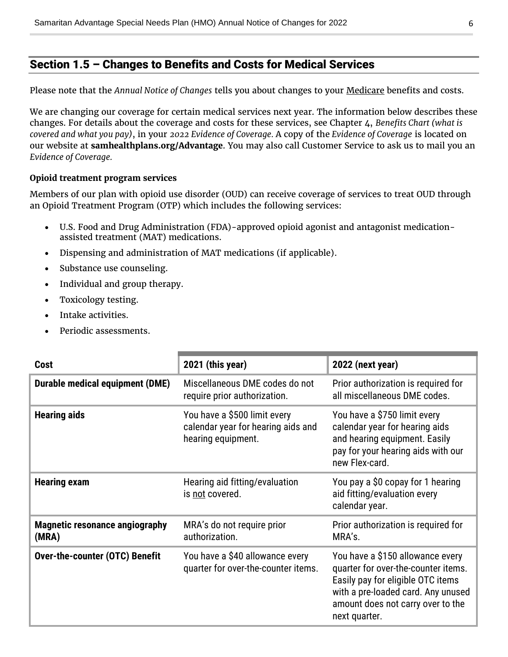### <span id="page-7-0"></span>Section 1.5 – Changes to Benefits and Costs for Medical Services

Please note that the *Annual Notice of Changes* tells you about changes to your Medicare benefits and costs.

We are changing our coverage for certain medical services next year. The information below describes these changes. For details about the coverage and costs for these services, see Chapter 4, *Benefits Chart (what is covered and what you pay)*, in your *2022 Evidence of Coverage.* A copy of the *Evidence of Coverage* is located on our website at **[samhealthplans.org/Advantage](https://www.samhealthplans.org/members/medicare-members)**. You may also call Customer Service to ask us to mail you an *Evidence of Coverage.*

#### **Opioid treatment program services**

Members of our plan with opioid use disorder (OUD) can receive coverage of services to treat OUD through an Opioid Treatment Program (OTP) which includes the following services:

- U.S. Food and Drug Administration (FDA)-approved opioid agonist and antagonist medicationassisted treatment (MAT) medications.
- Dispensing and administration of MAT medications (if applicable).
- Substance use counseling.
- Individual and group therapy.
- Toxicology testing.
- Intake activities.
- Periodic assessments.

| <b>Cost</b>                                    | 2021 (this year)                                                                         | 2022 (next year)                                                                                                                                                                                         |
|------------------------------------------------|------------------------------------------------------------------------------------------|----------------------------------------------------------------------------------------------------------------------------------------------------------------------------------------------------------|
| <b>Durable medical equipment (DME)</b>         | Miscellaneous DME codes do not<br>require prior authorization.                           | Prior authorization is required for<br>all miscellaneous DME codes.                                                                                                                                      |
| <b>Hearing aids</b>                            | You have a \$500 limit every<br>calendar year for hearing aids and<br>hearing equipment. | You have a \$750 limit every<br>calendar year for hearing aids<br>and hearing equipment. Easily<br>pay for your hearing aids with our<br>new Flex-card.                                                  |
| <b>Hearing exam</b>                            | Hearing aid fitting/evaluation<br>is not covered.                                        | You pay a \$0 copay for 1 hearing<br>aid fitting/evaluation every<br>calendar year.                                                                                                                      |
| <b>Magnetic resonance angiography</b><br>(MRA) | MRA's do not require prior<br>authorization.                                             | Prior authorization is required for<br>MRA's.                                                                                                                                                            |
| <b>Over-the-counter (OTC) Benefit</b>          | You have a \$40 allowance every<br>quarter for over-the-counter items.                   | You have a \$150 allowance every<br>quarter for over-the-counter items.<br>Easily pay for eligible OTC items<br>with a pre-loaded card. Any unused<br>amount does not carry over to the<br>next quarter. |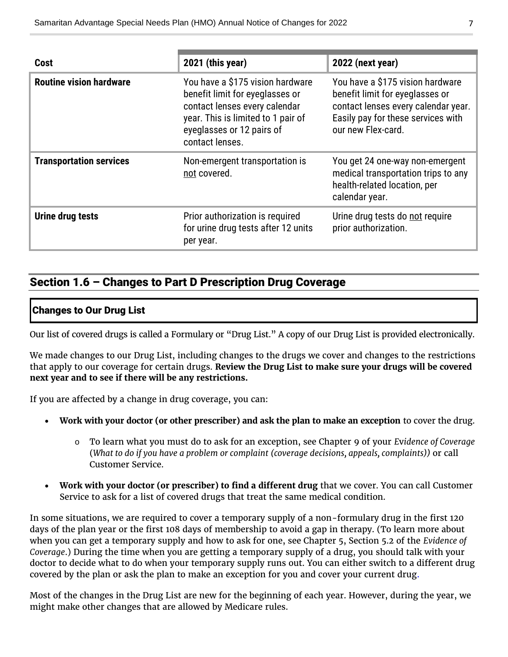| Cost                           | 2021 (this year)                                                                                                                                                                           | 2022 (next year)                                                                                                                                                       |
|--------------------------------|--------------------------------------------------------------------------------------------------------------------------------------------------------------------------------------------|------------------------------------------------------------------------------------------------------------------------------------------------------------------------|
| <b>Routine vision hardware</b> | You have a \$175 vision hardware<br>benefit limit for eyeglasses or<br>contact lenses every calendar<br>year. This is limited to 1 pair of<br>eyeglasses or 12 pairs of<br>contact lenses. | You have a \$175 vision hardware<br>benefit limit for eyeglasses or<br>contact lenses every calendar year.<br>Easily pay for these services with<br>our new Flex-card. |
| <b>Transportation services</b> | Non-emergent transportation is<br>not covered.                                                                                                                                             | You get 24 one-way non-emergent<br>medical transportation trips to any<br>health-related location, per<br>calendar year.                                               |
| Urine drug tests               | Prior authorization is required<br>for urine drug tests after 12 units<br>per year.                                                                                                        | Urine drug tests do not require<br>prior authorization.                                                                                                                |

### <span id="page-8-0"></span>Section 1.6 – Changes to Part D Prescription Drug Coverage

#### Changes to Our Drug List

Our list of covered drugs is called a Formulary or "Drug List." A copy of our Drug List is provided electronically.

We made changes to our Drug List, including changes to the drugs we cover and changes to the restrictions that apply to our coverage for certain drugs. **Review the Drug List to make sure your drugs will be covered next year and to see if there will be any restrictions.**

If you are affected by a change in drug coverage, you can:

- **Work with your doctor (or other prescriber) and ask the plan to make an exception** to cover the drug.
	- o To learn what you must do to ask for an exception, see Chapter 9 of your *E*v*idence of Coverage* (*What to do if you have a problem or complaint (coverage decisions, appeals, complaints))* or call Customer Service.
- **Work with your doctor (or prescriber) to find a different drug** that we cover. You can call Customer Service to ask for a list of covered drugs that treat the same medical condition.

In some situations, we are required to cover a temporary supply of a non-formulary drug in the first 120 days of the plan year or the first 108 days of membership to avoid a gap in therapy. (To learn more about when you can get a temporary supply and how to ask for one, see Chapter 5, Section 5.2 of the *Evidence of Coverage*.) During the time when you are getting a temporary supply of a drug, you should talk with your doctor to decide what to do when your temporary supply runs out. You can either switch to a different drug covered by the plan or ask the plan to make an exception for you and cover your current drug.

Most of the changes in the Drug List are new for the beginning of each year. However, during the year, we might make other changes that are allowed by Medicare rules.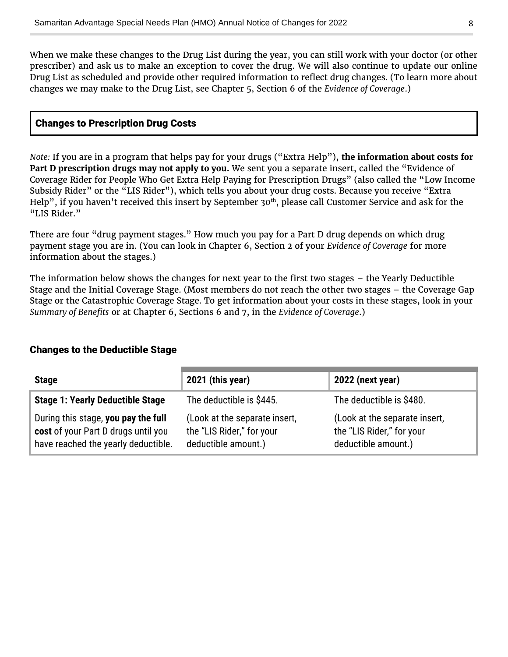When we make these changes to the Drug List during the year, you can still work with your doctor (or other prescriber) and ask us to make an exception to cover the drug. We will also continue to update our online Drug List as scheduled and provide other required information to reflect drug changes. (To learn more about changes we may make to the Drug List, see Chapter 5, Section 6 of the *Evidence of Coverage*.)

#### Changes to Prescription Drug Costs

*Note:* If you are in a program that helps pay for your drugs ("Extra Help"), **the information about costs for Part D prescription drugs may not apply to you.** We sent you a separate insert, called the "Evidence of Coverage Rider for People Who Get Extra Help Paying for Prescription Drugs" (also called the "Low Income Subsidy Rider" or the "LIS Rider"), which tells you about your drug costs. Because you receive "Extra Help", if you haven't received this insert by September 30<sup>th</sup>, please call Customer Service and ask for the "LIS Rider."

There are four "drug payment stages." How much you pay for a Part D drug depends on which drug payment stage you are in. (You can look in Chapter 6, Section 2 of your *Evidence of Coverage* for more information about the stages.)

The information below shows the changes for next year to the first two stages – the Yearly Deductible Stage and the Initial Coverage Stage. (Most members do not reach the other two stages – the Coverage Gap Stage or the Catastrophic Coverage Stage. To get information about your costs in these stages, look in your *Summary of Benefits* or at Chapter 6, Sections 6 and 7, in the *Evidence of Coverage*.)

#### Changes to the Deductible Stage

| <b>Stage</b>                                                                                                      | 2021 (this year)                                                                  | 2022 (next year)                                                                  |
|-------------------------------------------------------------------------------------------------------------------|-----------------------------------------------------------------------------------|-----------------------------------------------------------------------------------|
| <b>Stage 1: Yearly Deductible Stage</b>                                                                           | The deductible is \$445.                                                          | The deductible is \$480.                                                          |
| During this stage, you pay the full<br>cost of your Part D drugs until you<br>have reached the yearly deductible. | (Look at the separate insert,<br>the "LIS Rider," for your<br>deductible amount.) | (Look at the separate insert,<br>the "LIS Rider," for your<br>deductible amount.) |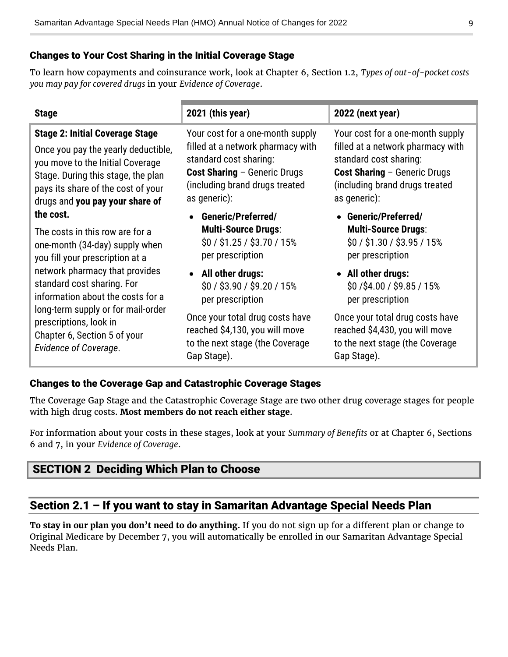#### Changes to Your Cost Sharing in the Initial Coverage Stage

To learn how copayments and coinsurance work, look at Chapter 6, Section 1.2, *Types of out-of-pocket costs you may pay for covered drugs* in your *Evidence of Coverage*.

| <b>Stage</b>                           | 2021 (this year)                    | 2022 (next year)                    |
|----------------------------------------|-------------------------------------|-------------------------------------|
| <b>Stage 2: Initial Coverage Stage</b> | Your cost for a one-month supply    | Your cost for a one-month supply    |
| Once you pay the yearly deductible,    | filled at a network pharmacy with   | filled at a network pharmacy with   |
| you move to the Initial Coverage       | standard cost sharing:              | standard cost sharing:              |
| Stage. During this stage, the plan     | <b>Cost Sharing - Generic Drugs</b> | <b>Cost Sharing - Generic Drugs</b> |
| pays its share of the cost of your     | (including brand drugs treated      | (including brand drugs treated      |
| drugs and you pay your share of        | as generic):                        | as generic):                        |
| the cost.                              | <b>Generic/Preferred/</b>           | • Generic/Preferred/                |
| The costs in this row are for a        | <b>Multi-Source Drugs:</b>          | <b>Multi-Source Drugs:</b>          |
| one-month (34-day) supply when         | $$0/$ \$1.25 / \$3.70 / 15%         | $$0/$ \$1.30 / \$3.95 / 15%         |
| you fill your prescription at a        | per prescription                    | per prescription                    |
| network pharmacy that provides         | • All other drugs:                  | • All other drugs:                  |
| standard cost sharing. For             | \$0 / \$3.90 / \$9.20 / 15%         | \$0/\$4.00/\$9.85/15%               |
| information about the costs for a      | per prescription                    | per prescription                    |
| long-term supply or for mail-order     | Once your total drug costs have     | Once your total drug costs have     |
| prescriptions, look in                 | reached \$4,130, you will move      | reached \$4,430, you will move      |
| Chapter 6, Section 5 of your           | to the next stage (the Coverage     | to the next stage (the Coverage     |
| <b>Evidence of Coverage.</b>           | Gap Stage).                         | Gap Stage).                         |

#### Changes to the Coverage Gap and Catastrophic Coverage Stages

The Coverage Gap Stage and the Catastrophic Coverage Stage are two other drug coverage stages for people with high drug costs. **Most members do not reach either stage**.

For information about your costs in these stages, look at your *Summary of Benefits* or at Chapter 6, Sections 6 and 7, in your *Evidence of Coverage*.

### <span id="page-10-0"></span>SECTION 2 Deciding Which Plan to Choose

### <span id="page-10-1"></span>Section 2.1 - If you want to stay in Samaritan Advantage Special Needs Plan

**To stay in our plan you don't need to do anything.** If you do not sign up for a different plan or change to Original Medicare by December 7, you will automatically be enrolled in our Samaritan Advantage Special Needs Plan.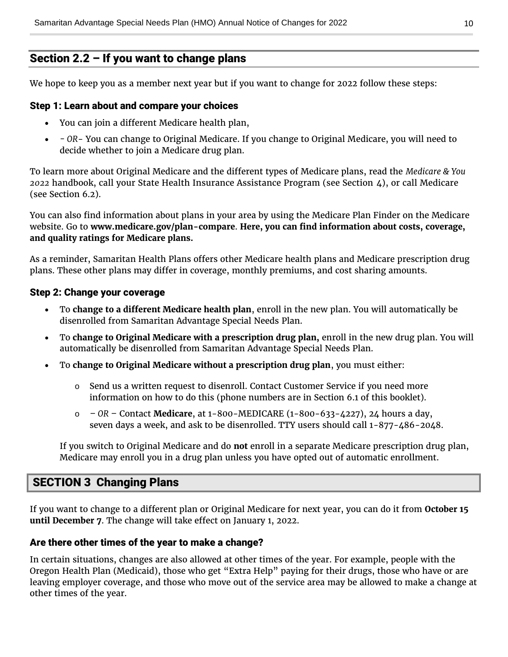### <span id="page-11-0"></span>Section 2.2 – If you want to change plans

We hope to keep you as a member next year but if you want to change for 2022 follow these steps:

#### Step 1: Learn about and compare your choices

- You can join a different Medicare health plan,
- *- OR* You can change to Original Medicare. If you change to Original Medicare, you will need to decide whether to join a Medicare drug plan.

To learn more about Original Medicare and the different types of Medicare plans, read the *Medicare & You 2022* handbook, call your State Health Insurance Assistance Program (see Section 4), or call Medicare (see Section 6.2).

You can also find information about plans in your area by using the Medicare Plan Finder on the Medicare website. Go to **[www.medicare.gov/plan-compare](https://www.medicare.gov/plan-compare)**. **Here, you can find information about costs, coverage, and quality ratings for Medicare plans.**

As a reminder, Samaritan Health Plans offers other Medicare health plans and Medicare prescription drug plans. These other plans may differ in coverage, monthly premiums, and cost sharing amounts.

#### Step 2: Change your coverage

- To **change to a different Medicare health plan**, enroll in the new plan. You will automatically be disenrolled from Samaritan Advantage Special Needs Plan.
- To **change to Original Medicare with a prescription drug plan,** enroll in the new drug plan. You will automatically be disenrolled from Samaritan Advantage Special Needs Plan.
- To **change to Original Medicare without a prescription drug plan**, you must either:
	- $\circ$  Send us a written request to disenroll. Contact Customer Service if you need more information on how to do this (phone numbers are in Section 6.1 of this booklet).
	- o *– OR –* Contact **Medicare**, at 1-800-MEDICARE (1-800-633-4227), 24 hours a day, seven days a week, and ask to be disenrolled. TTY users should call 1-877-486-2048.

If you switch to Original Medicare and do **not** enroll in a separate Medicare prescription drug plan, Medicare may enroll you in a drug plan unless you have opted out of automatic enrollment.

### <span id="page-11-1"></span>SECTION 3 Changing Plans

If you want to change to a different plan or Original Medicare for next year, you can do it from **October 15 until December 7**. The change will take effect on January 1, 2022.

#### Are there other times of the year to make a change?

In certain situations, changes are also allowed at other times of the year. For example, people with the Oregon Health Plan (Medicaid), those who get "Extra Help" paying for their drugs, those who have or are leaving employer coverage, and those who move out of the service area may be allowed to make a change at other times of the year.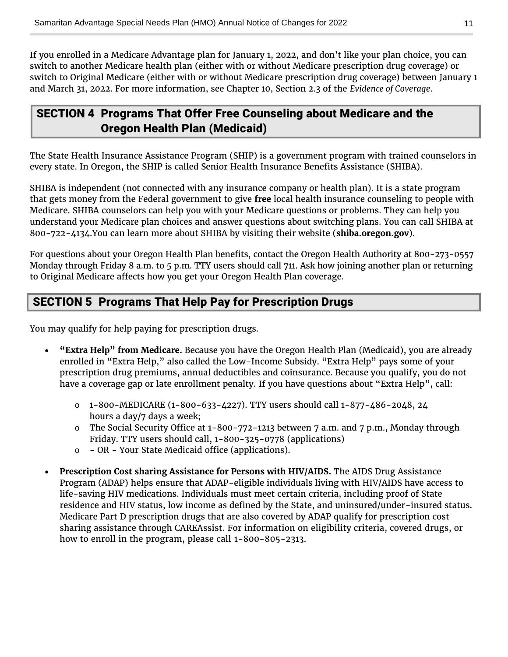If you enrolled in a Medicare Advantage plan for January 1, 2022, and don't like your plan choice, you can switch to another Medicare health plan (either with or without Medicare prescription drug coverage) or switch to Original Medicare (either with or without Medicare prescription drug coverage) between January 1 and March 31, 2022. For more information, see Chapter 10, Section 2.3 of the *Evidence of Coverage*.

### <span id="page-12-0"></span>SECTION 4 Programs That Offer Free Counseling about Medicare and the Oregon Health Plan (Medicaid)

The State Health Insurance Assistance Program (SHIP) is a government program with trained counselors in every state. In Oregon, the SHIP is called Senior Health Insurance Benefits Assistance (SHIBA).

SHIBA is independent (not connected with any insurance company or health plan). It is a state program that gets money from the Federal government to give **free** local health insurance counseling to people with Medicare. SHIBA counselors can help you with your Medicare questions or problems. They can help you understand your Medicare plan choices and answer questions about switching plans. You can call SHIBA at 800-722-4134.You can learn more about SHIBA by visiting their website (**[shiba.oregon.gov](https://healthcare.oregon.gov/shiba/pages/index.aspx)**).

For questions about your Oregon Health Plan benefits, contact the Oregon Health Authority at 800-273-0557 Monday through Friday 8 a.m. to 5 p.m. TTY users should call 711. Ask how joining another plan or returning to Original Medicare affects how you get your Oregon Health Plan coverage.

### <span id="page-12-1"></span>SECTION 5 Programs That Help Pay for Prescription Drugs

You may qualify for help paying for prescription drugs.

- **"Extra Help" from Medicare.** Because you have the Oregon Health Plan (Medicaid), you are already enrolled in "Extra Help," also called the Low-Income Subsidy. "Extra Help" pays some of your prescription drug premiums, annual deductibles and coinsurance. Because you qualify, you do not have a coverage gap or late enrollment penalty. If you have questions about "Extra Help", call:
	- $\circ$  1-800-MEDICARE (1-800-633-4227). TTY users should call 1-877-486-2048, 24 hours a day/7 days a week;
	- o The Social Security Office at 1-800-772-1213 between 7 a.m. and 7 p.m., Monday through Friday. TTY users should call, 1-800-325-0778 (applications)
	- $\circ$  OR Your State Medicaid office (applications).
- **Prescription Cost sharing Assistance for Persons with HIV/AIDS.** The AIDS Drug Assistance Program (ADAP) helps ensure that ADAP-eligible individuals living with HIV/AIDS have access to life-saving HIV medications. Individuals must meet certain criteria, including proof of State residence and HIV status, low income as defined by the State, and uninsured/under-insured status. Medicare Part D prescription drugs that are also covered by ADAP qualify for prescription cost sharing assistance through CAREAssist. For information on eligibility criteria, covered drugs, or how to enroll in the program, please call 1-800-805-2313.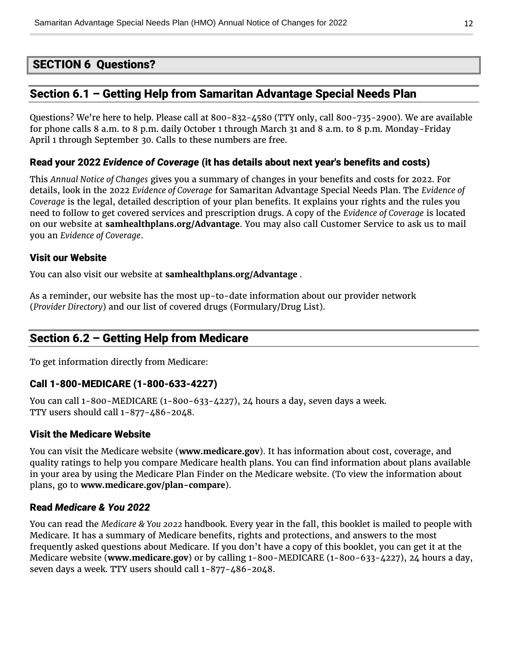### <span id="page-13-0"></span>SECTION 6 Questions?

### <span id="page-13-1"></span>Section 6.1 – Getting Help from Samaritan Advantage Special Needs Plan

Questions? We're here to help. Please call at 800-832-4580 (TTY only, call 800-735-2900). We are available for phone calls 8 a.m. to 8 p.m. daily October 1 through March 31 and 8 a.m. to 8 p.m. Monday-Friday April 1 through September 30. Calls to these numbers are free.

#### Read your 2022 *Evidence of Coverage* (it has details about next year's benefits and costs)

This *Annual Notice of Changes* gives you a summary of changes in your benefits and costs for 2022. For details, look in the 2022 *Evidence of Coverage* for Samaritan Advantage Special Needs Plan. The *Evidence of Coverage* is the legal, detailed description of your plan benefits. It explains your rights and the rules you need to follow to get covered services and prescription drugs. A copy of the *Evidence of Coverage* is located on our website at **[samhealthplans.org/Advantage](https://www.samhealthplans.org/members/medicare-members)**. You may also call Customer Service to ask us to mail you an *Evidence of Coverage*.

#### Visit our Website

You can also visit our website at **[samhealthplans.org/Advantage](https://www.samhealthplans.org/members/medicare-members)** .

As a reminder, our website has the most up-to-date information about our provider network (*Provider Directory*) and our list of covered drugs (Formulary/Drug List).

### <span id="page-13-2"></span>Section 6.2 – Getting Help from Medicare

To get information directly from Medicare:

#### Call 1-800-MEDICARE (1-800-633-4227)

You can call 1-800-MEDICARE (1-800-633-4227), 24 hours a day, seven days a week. TTY users should call 1-877-486-2048.

#### Visit the Medicare Website

You can visit the Medicare website (**[www.medicare.gov](https://www.medicare.gov/)**). It has information about cost, coverage, and quality ratings to help you compare Medicare health plans. You can find information about plans available in your area by using the Medicare Plan Finder on the Medicare website. (To view the information about plans, go to **[www.medicare.gov/plan-compare](https://www.medicare.gov/plan-compare/)**).

#### Read *Medicare & You 2022*

You can read the *Medicare & You 2022* handbook. Every year in the fall, this booklet is mailed to people with Medicare. It has a summary of Medicare benefits, rights and protections, and answers to the most frequently asked questions about Medicare. If you don't have a copy of this booklet, you can get it at the Medicare website (**[www.medicare.gov](https://www.medicare.gov/)**) or by calling 1-800-MEDICARE (1-800-633-4227), 24 hours a day, seven days a week. TTY users should call 1-877-486-2048.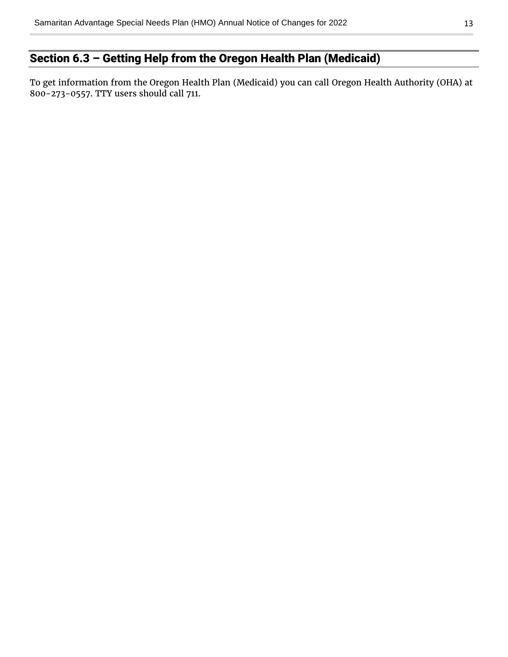### <span id="page-14-0"></span>Section 6.3 – Getting Help from the Oregon Health Plan (Medicaid)

To get information from the Oregon Health Plan (Medicaid) you can call Oregon Health Authority (OHA) at 800-273-0557. TTY users should call 711.